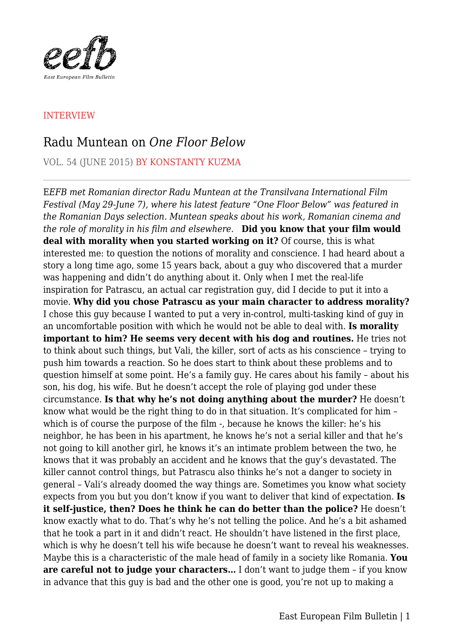

## INTERVIEW

## Radu Muntean on *One Floor Below*

VOL. 54 (JUNE 2015) BY KONSTANTY KUZMA

E*EFB met Romanian director Radu Muntean at the Transilvana International Film Festival (May 29-June 7), where his latest feature "One Floor Below" was featured in the Romanian Days selection. Muntean speaks about his work, Romanian cinema and the role of morality in his film and elsewhere.* **Did you know that your film would deal with morality when you started working on it?** Of course, this is what interested me: to question the notions of morality and conscience. I had heard about a story a long time ago, some 15 years back, about a guy who discovered that a murder was happening and didn't do anything about it. Only when I met the real-life inspiration for Patrascu, an actual car registration guy, did I decide to put it into a movie. **Why did you chose Patrascu as your main character to address morality?** I chose this guy because I wanted to put a very in-control, multi-tasking kind of guy in an uncomfortable position with which he would not be able to deal with. **Is morality important to him? He seems very decent with his dog and routines.** He tries not to think about such things, but Vali, the killer, sort of acts as his conscience – trying to push him towards a reaction. So he does start to think about these problems and to question himself at some point. He's a family guy. He cares about his family – about his son, his dog, his wife. But he doesn't accept the role of playing god under these circumstance. **Is that why he's not doing anything about the murder?** He doesn't know what would be the right thing to do in that situation. It's complicated for him – which is of course the purpose of the film -, because he knows the killer: he's his neighbor, he has been in his apartment, he knows he's not a serial killer and that he's not going to kill another girl, he knows it's an intimate problem between the two, he knows that it was probably an accident and he knows that the guy's devastated. The killer cannot control things, but Patrascu also thinks he's not a danger to society in general – Vali's already doomed the way things are. Sometimes you know what society expects from you but you don't know if you want to deliver that kind of expectation. **Is it self-justice, then? Does he think he can do better than the police?** He doesn't know exactly what to do. That's why he's not telling the police. And he's a bit ashamed that he took a part in it and didn't react. He shouldn't have listened in the first place, which is why he doesn't tell his wife because he doesn't want to reveal his weaknesses. Maybe this is a characteristic of the male head of family in a society like Romania. **You are careful not to judge your characters…** I don't want to judge them – if you know in advance that this guy is bad and the other one is good, you're not up to making a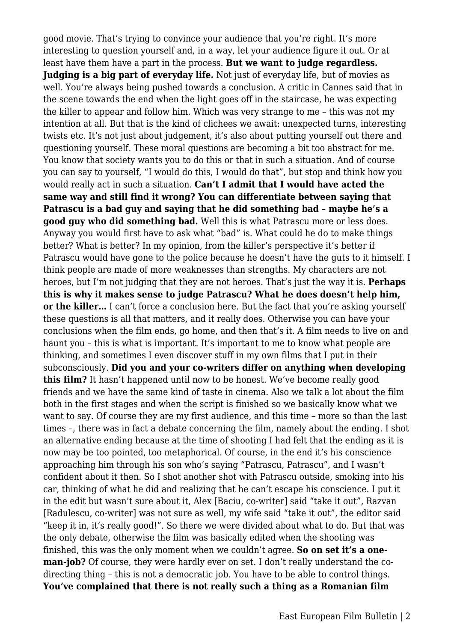good movie. That's trying to convince your audience that you're right. It's more interesting to question yourself and, in a way, let your audience figure it out. Or at least have them have a part in the process. **But we want to judge regardless. Judging is a big part of everyday life.** Not just of everyday life, but of movies as well. You're always being pushed towards a conclusion. A critic in Cannes said that in the scene towards the end when the light goes off in the staircase, he was expecting the killer to appear and follow him. Which was very strange to me – this was not my intention at all. But that is the kind of clichees we await: unexpected turns, interesting twists etc. It's not just about judgement, it's also about putting yourself out there and questioning yourself. These moral questions are becoming a bit too abstract for me. You know that society wants you to do this or that in such a situation. And of course you can say to yourself, "I would do this, I would do that", but stop and think how you would really act in such a situation. **Can't I admit that I would have acted the same way and still find it wrong? You can differentiate between saying that Patrascu is a bad guy and saying that he did something bad – maybe he's a good guy who did something bad.** Well this is what Patrascu more or less does. Anyway you would first have to ask what "bad" is. What could he do to make things better? What is better? In my opinion, from the killer's perspective it's better if Patrascu would have gone to the police because he doesn't have the guts to it himself. I think people are made of more weaknesses than strengths. My characters are not heroes, but I'm not judging that they are not heroes. That's just the way it is. **Perhaps this is why it makes sense to judge Patrascu? What he does doesn't help him, or the killer...** I can't force a conclusion here. But the fact that you're asking yourself these questions is all that matters, and it really does. Otherwise you can have your conclusions when the film ends, go home, and then that's it. A film needs to live on and haunt you – this is what is important. It's important to me to know what people are thinking, and sometimes I even discover stuff in my own films that I put in their subconsciously. **Did you and your co-writers differ on anything when developing this film?** It hasn't happened until now to be honest. We've become really good friends and we have the same kind of taste in cinema. Also we talk a lot about the film both in the first stages and when the script is finished so we basically know what we want to say. Of course they are my first audience, and this time – more so than the last times –, there was in fact a debate concerning the film, namely about the ending. I shot an alternative ending because at the time of shooting I had felt that the ending as it is now may be too pointed, too metaphorical. Of course, in the end it's his conscience approaching him through his son who's saying "Patrascu, Patrascu", and I wasn't confident about it then. So I shot another shot with Patrascu outside, smoking into his car, thinking of what he did and realizing that he can't escape his conscience. I put it in the edit but wasn't sure about it, Alex [Baciu, co-writer] said "take it out", Razvan [Radulescu, co-writer] was not sure as well, my wife said "take it out", the editor said "keep it in, it's really good!". So there we were divided about what to do. But that was the only debate, otherwise the film was basically edited when the shooting was finished, this was the only moment when we couldn't agree. **So on set it's a oneman-job?** Of course, they were hardly ever on set. I don't really understand the codirecting thing – this is not a democratic job. You have to be able to control things. **You've complained that there is not really such a thing as a Romanian film**